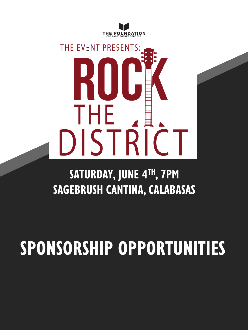

# THE EVENT PRESENTS: THE. DISTRIC

### **SATURDAY, JUNE 4TH, 7PM SAGEBRUSH CANTINA, CALABASAS**

## **SPONSORSHIP OPPORTUNITIES**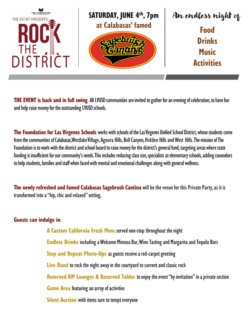

**THE EVENT is back and in full swing**. All LVUSD communities are invited to gather for an evening of celebration, to have fun and help raise money for the outstanding LVUSD schools.

**The Foundation for Las Virgenes Schools** works with schools of the Las Virgenes Unified School District, whose students come from the communities of Calabasas, Westlake Village, Agoura Hills, Bell Canyon, Hidden Hills and West Hills. The mission of The Foundation is to work with the district and school board to raise money for the district's general fund, targeting areas where state funding is insufficient for our community's needs. This includes reducing class size, specialists at elementary schools, adding counselors to help students, families and staff when faced with mental and emotional challenges along with general wellness.

**The newly refreshed and famed Calabasas Sagebrush Cantina** will be the venue for this Private Party, as it is transformed into a "hip, chic and relaxed" setting.

#### **Guests can indulge in**:

**A Custom California Fresh Men**u served non-stop throughout the night **Endless Drinks** including a Welcome Mimosa Bar, Wine Tasting and Margarita and Tequila Bars **Step and Repeat Photo-Ops** as guests receive a red-carpet greeting **Live Band** to rock the night away in the courtyard to current and classic rock **Reserved VIP Lounges & Reserved Tables** to enjoy the event "by invitation" in a private section **Game Area** featuring an array of activities **Silent Auction** with items sure to tempt everyone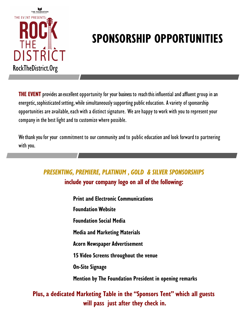

**THE EVENT** provides an excellent opportunity for your business to reach this influential and affluent group in an energetic, sophisticated setting, while simultaneously supporting public education. A variety of sponsorship opportunities are available, each with a distinct signature. We are happy to work with you to represent your company in the best light and to customize where possible.

We thank you for your commitment to our community and to public education and look forward to partnering with you.

#### *PRESENTING, PREMIERE, PLATINUM , GOLD & SILVER SPONSORSHIPS* **include your company logo on all of the following:**

- **Print and Electronic Communications**
- **Foundation Website**
- **Foundation Social Media**
- **Media and Marketing Materials**
- **Acorn Newspaper Advertisement**
- **15 Video Screens throughout the venue**
- **On-Site Signage**
- **Mention by The Foundation President in opening remarks**

#### **Plus, a dedicated Marketing Table in the "Sponsors Tent" which all guests will pass just after they check in.**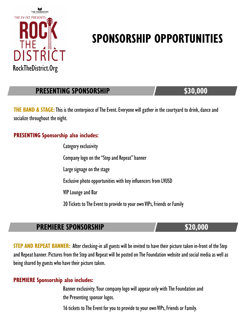

#### **PRESENTING SPONSORSHIP \$30,000**

**THE BAND & STAGE:** This is the centerpiece of The Event. Everyone will gather in the courtyard to drink, dance and socialize throughout the night.

#### **PRESENTING Sponsorship also includes:**

Category exclusivity Company logo on the "Step and Repeat" banner Large signage on the stage Exclusive photo opportunities with key influencers from LVUSD VIP Lounge and Bar 20 Tickets to The Event to provide to your own VIPs, Friends or Family

#### **PREMIERE SPONSORSHIP \$20,000**

**STEP AND REPEAT BANNER:** After checking-in all guests will be invited to have their picture taken in-front of the Step and Repeat banner. Pictures from the Step and Repeat will be posted on The Foundation website and social media as well as being shared by guests who have their picture taken.

#### **PREMIERE Sponsorship also includes:**

Banner exclusivity. Your company logo will appear only with The Foundation and the Presenting sponsor logos.

16 tickets to The Event for you to provide to your own VIPs, Friends or Family.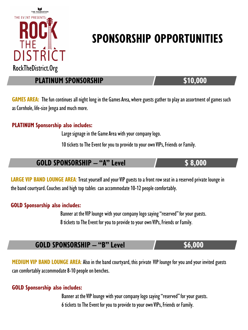

**PLATINUM SPONSORSHIP 510,000** 

**GAMES AREA:** The fun continues all night long in the Games Area, where guests gather to play an assortment of games such as Cornhole, life-size Jenga and much more.

#### **PLATINUM Sponsorship also includes:**

Large signage in the Game Area with your company logo.

10 tickets to The Event for you to provide to your own VIPs, Friends or Family.

#### **GOLD SPONSORSHIP – "A" Level \$ 8,000**

LARGE VIP BAND LOUNGE AREA: Treat yourself and your VIP guests to a front row seat in a reserved private lounge in the band courtyard. Couches and high top tables can accommodate 10-12 people comfortably.

#### **GOLD Sponsorship also includes:**

Banner at the VIP lounge with your company logo saying "reserved" for your guests. 8 tickets to The Event for you to provide to your own VIPs, Friends or Family.

#### **GOLD SPONSORSHIP – "B" Level \$6,000**

**MEDIUM VIP BAND LOUNGE AREA**: Also in the band courtyard, this private VIP lounge for you and your invited guests can comfortably accommodate 8-10 people on benches.

#### **GOLD Sponsorship also includes:**

Banner at the VIP lounge with your company logo saying "reserved" for your guests. 6 tickets to The Event for you to provide to your own VIPs, Friends or Family.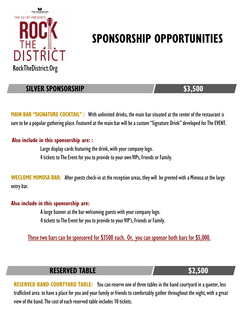

#### **SILVER SPONSORSHIP** \$3,500

**MAIN BAR "SIGNATURE COCKTAIL" :** With unlimited drinks, the main bar situated at the center of the restaurant is sure to be a popular gathering place. Featured at the main bar will be a custom "Signature Drink" developed for The EVENT.

#### **Also include in this sponsorship are: :**

Large display cards featuring the drink, with your company logo. 4 tickets to The Event for you to provide to your own VIPs, Friends or Family.

**WECLOME MIMOSA BAR:** After guests check-in at the reception areas, they will be greeted with a Mimosa at the large entry bar.

#### **Also include in this sponsorship are:**

A large banner at the bar welcoming guests with your company logo. 4 tickets to The Event for you to provide to your VIP's, Friends or Family.

These two bars can be sponsored for \$3500 each. Or, you can sponsor both bars for \$5,000.

#### **RESERVED TABLE 52,500**

**RESERVED BAND COURTYARD TABLE:** You can reserve one of three tables in the band courtyard in a quieter, less trafficked area to have a place for you and your family or friends to comfortably gather throughout the night, with a great view of the band. The cost of each reserved table includes 10 tickets.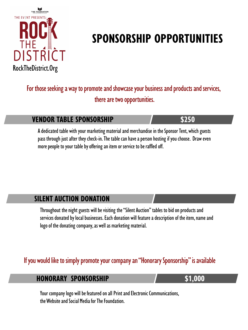

For those seeking a way to promote and showcase your business and products and services, there are two opportunities.

#### **VENDOR TABLE SPONSORSHIP \$250**

A dedicated table with your marketing material and merchandise in the Sponsor Tent, which guests pass through just after they check-in. The table can have a person hosting if you choose. Draw even more people to your table by offering an item or service to be raffled off.

#### **SILENT AUCTION DONATION**

Throughout the night guests will be visiting the "Silent Auction" tables to bid on products and services donated by local businesses. Each donation will feature a description of the item, name and logo of the donating company, as well as marketing material.

#### If you would like to simply promote your company an "Honorary Sponsorship" is available

#### **HONORARY SPONSORSHIP 51,000**

Your company logo will be featured on all Print and Electronic Communications, the Website and Social Media for The Foundation.